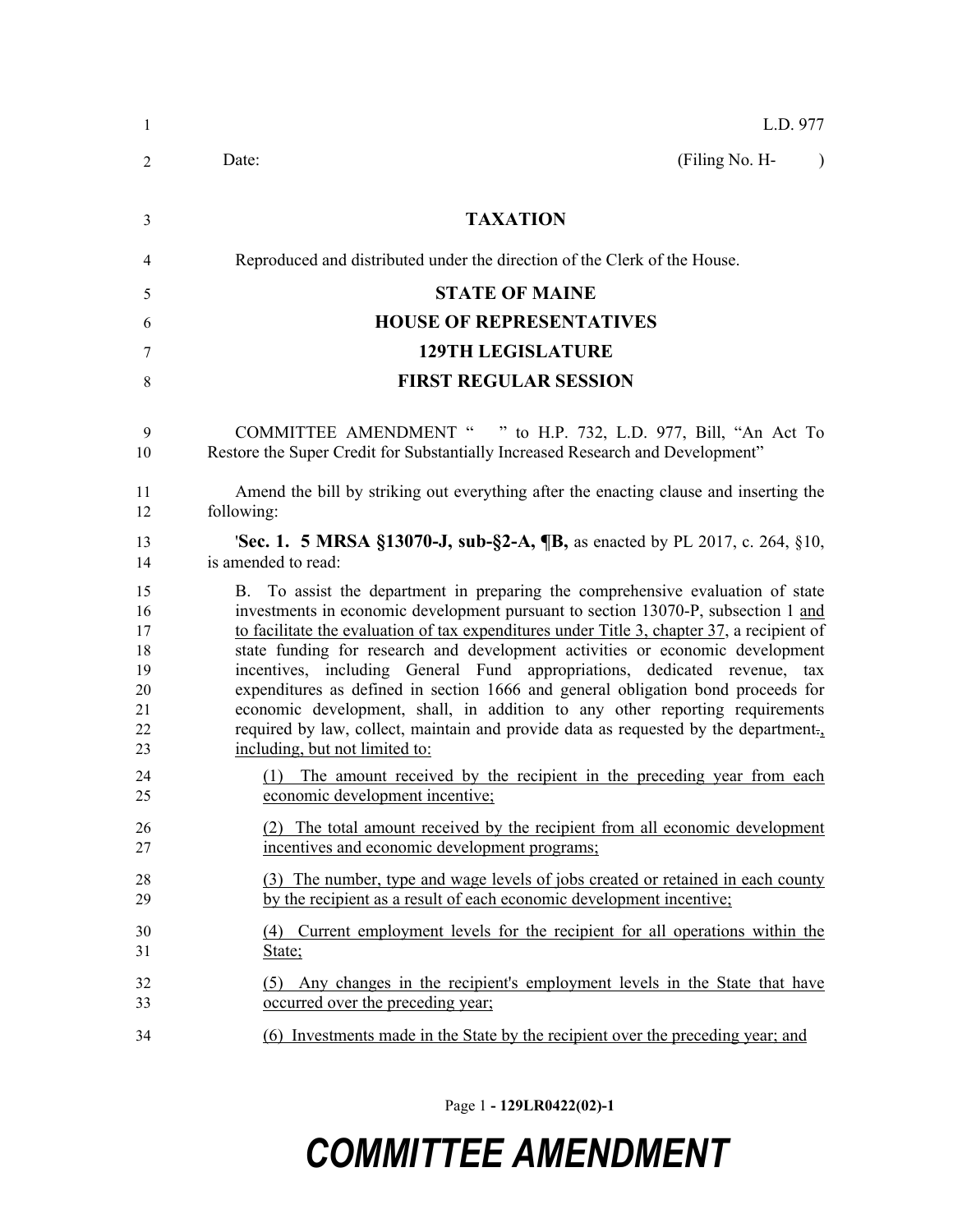| 1                                                  | L.D. 977                                                                                                                                                                                                                                                                                                                                                                                                                                                                                                                                                                                                                                                                                                                     |
|----------------------------------------------------|------------------------------------------------------------------------------------------------------------------------------------------------------------------------------------------------------------------------------------------------------------------------------------------------------------------------------------------------------------------------------------------------------------------------------------------------------------------------------------------------------------------------------------------------------------------------------------------------------------------------------------------------------------------------------------------------------------------------------|
| 2                                                  | (Filing No. H-<br>Date:<br>$\lambda$                                                                                                                                                                                                                                                                                                                                                                                                                                                                                                                                                                                                                                                                                         |
| 3                                                  | <b>TAXATION</b>                                                                                                                                                                                                                                                                                                                                                                                                                                                                                                                                                                                                                                                                                                              |
| 4                                                  | Reproduced and distributed under the direction of the Clerk of the House.                                                                                                                                                                                                                                                                                                                                                                                                                                                                                                                                                                                                                                                    |
| 5                                                  | <b>STATE OF MAINE</b>                                                                                                                                                                                                                                                                                                                                                                                                                                                                                                                                                                                                                                                                                                        |
| 6                                                  | <b>HOUSE OF REPRESENTATIVES</b>                                                                                                                                                                                                                                                                                                                                                                                                                                                                                                                                                                                                                                                                                              |
| 7                                                  | <b>129TH LEGISLATURE</b>                                                                                                                                                                                                                                                                                                                                                                                                                                                                                                                                                                                                                                                                                                     |
| 8                                                  | <b>FIRST REGULAR SESSION</b>                                                                                                                                                                                                                                                                                                                                                                                                                                                                                                                                                                                                                                                                                                 |
| 9<br>10                                            | COMMITTEE AMENDMENT " " to H.P. 732, L.D. 977, Bill, "An Act To<br>Restore the Super Credit for Substantially Increased Research and Development"                                                                                                                                                                                                                                                                                                                                                                                                                                                                                                                                                                            |
| 11<br>12                                           | Amend the bill by striking out everything after the enacting clause and inserting the<br>following:                                                                                                                                                                                                                                                                                                                                                                                                                                                                                                                                                                                                                          |
| 13<br>14                                           | <b>Sec. 1. 5 MRSA §13070-J, sub-§2-A, <math>\mathbb{I}B</math>, as enacted by PL 2017, c. 264, §10,</b><br>is amended to read:                                                                                                                                                                                                                                                                                                                                                                                                                                                                                                                                                                                               |
| 15<br>16<br>17<br>18<br>19<br>20<br>21<br>22<br>23 | B. To assist the department in preparing the comprehensive evaluation of state<br>investments in economic development pursuant to section 13070-P, subsection 1 and<br>to facilitate the evaluation of tax expenditures under Title 3, chapter 37, a recipient of<br>state funding for research and development activities or economic development<br>incentives, including General Fund appropriations, dedicated revenue, tax<br>expenditures as defined in section 1666 and general obligation bond proceeds for<br>economic development, shall, in addition to any other reporting requirements<br>required by law, collect, maintain and provide data as requested by the department.<br>including, but not limited to: |
| 24<br>25                                           | The amount received by the recipient in the preceding year from each<br>(1)<br>economic development incentive;                                                                                                                                                                                                                                                                                                                                                                                                                                                                                                                                                                                                               |
| 26<br>27                                           | (2) The total amount received by the recipient from all economic development<br>incentives and economic development programs;                                                                                                                                                                                                                                                                                                                                                                                                                                                                                                                                                                                                |
| 28<br>29                                           | (3) The number, type and wage levels of jobs created or retained in each county<br>by the recipient as a result of each economic development incentive;                                                                                                                                                                                                                                                                                                                                                                                                                                                                                                                                                                      |
| 30<br>31                                           | Current employment levels for the recipient for all operations within the<br>(4)<br>State;                                                                                                                                                                                                                                                                                                                                                                                                                                                                                                                                                                                                                                   |
| 32<br>33                                           | (5) Any changes in the recipient's employment levels in the State that have<br>occurred over the preceding year;                                                                                                                                                                                                                                                                                                                                                                                                                                                                                                                                                                                                             |
| 34                                                 | (6) Investments made in the State by the recipient over the preceding year; and                                                                                                                                                                                                                                                                                                                                                                                                                                                                                                                                                                                                                                              |

Page 1 **- 129LR0422(02)-1**

## *COMMITTEE AMENDMENT*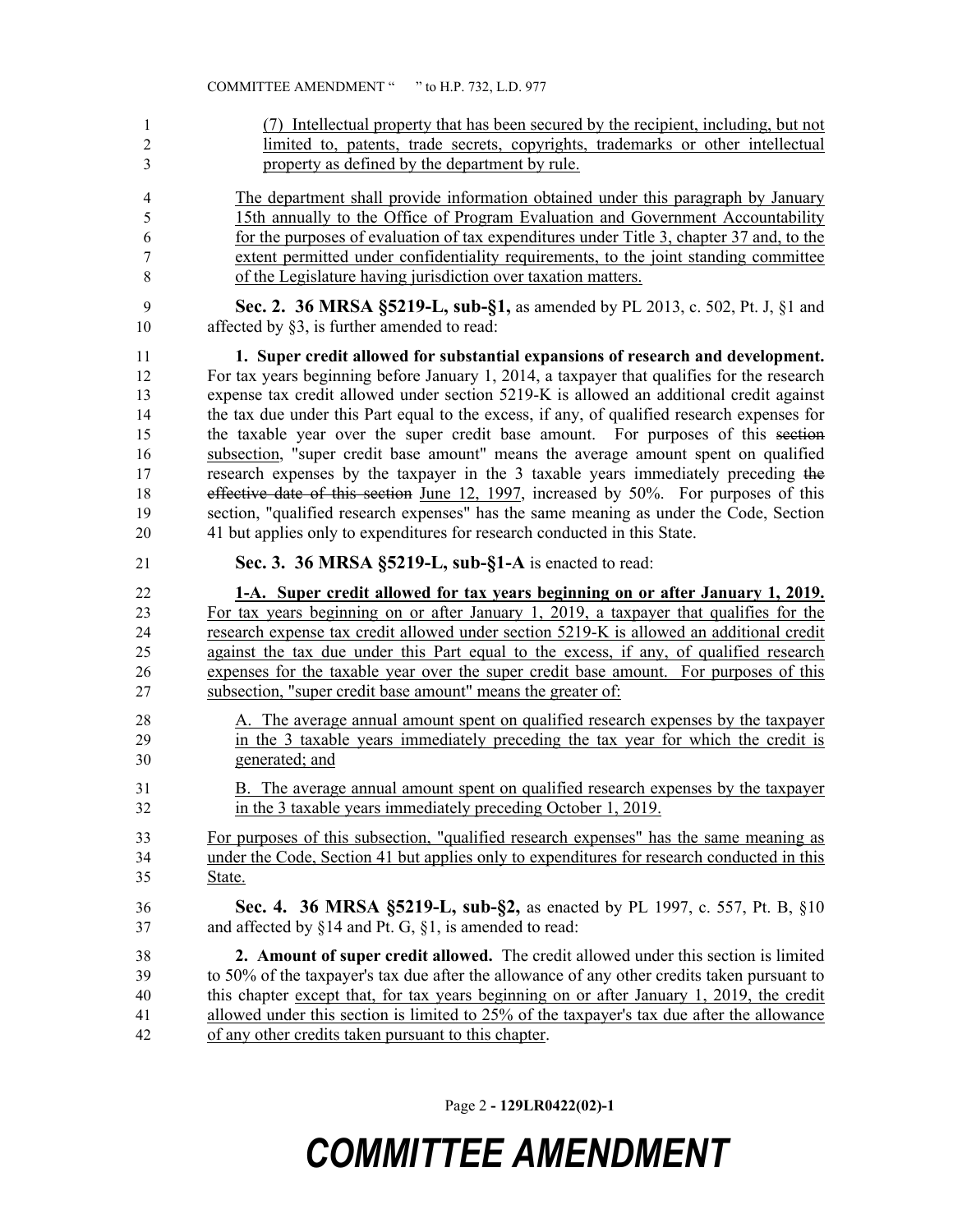| 1              | (7) Intellectual property that has been secured by the recipient, including, but not        |
|----------------|---------------------------------------------------------------------------------------------|
| $\overline{2}$ | limited to, patents, trade secrets, copyrights, trademarks or other intellectual            |
| 3              | property as defined by the department by rule.                                              |
| 4              | The department shall provide information obtained under this paragraph by January           |
| 5              | 15th annually to the Office of Program Evaluation and Government Accountability             |
| 6              | for the purposes of evaluation of tax expenditures under Title 3, chapter 37 and, to the    |
| 7              | extent permitted under confidentiality requirements, to the joint standing committee        |
| 8              | of the Legislature having jurisdiction over taxation matters.                               |
| 9              | Sec. 2. 36 MRSA §5219-L, sub-§1, as amended by PL 2013, c. 502, Pt. J, §1 and               |
| $10\,$         | affected by $\S3$ , is further amended to read:                                             |
| 11             | 1. Super credit allowed for substantial expansions of research and development.             |
| 12             | For tax years beginning before January 1, 2014, a taxpayer that qualifies for the research  |
| 13             | expense tax credit allowed under section 5219-K is allowed an additional credit against     |
| 14             | the tax due under this Part equal to the excess, if any, of qualified research expenses for |
| 15             | the taxable year over the super credit base amount. For purposes of this section            |
| 16             | subsection, "super credit base amount" means the average amount spent on qualified          |
| 17             | research expenses by the taxpayer in the 3 taxable years immediately preceding the          |
| 18             | effective date of this section June 12, 1997, increased by 50%. For purposes of this        |
| 19             | section, "qualified research expenses" has the same meaning as under the Code, Section      |
| 20             | 41 but applies only to expenditures for research conducted in this State.                   |
| 21             | Sec. 3. 36 MRSA §5219-L, sub-§1-A is enacted to read:                                       |
|                |                                                                                             |
| 22             | 1-A. Super credit allowed for tax years beginning on or after January 1, 2019.              |
| 23             | For tax years beginning on or after January 1, 2019, a taxpayer that qualifies for the      |
| 24             | research expense tax credit allowed under section 5219-K is allowed an additional credit    |
| 25             | against the tax due under this Part equal to the excess, if any, of qualified research      |
| 26             | expenses for the taxable year over the super credit base amount. For purposes of this       |
| 27             | subsection, "super credit base amount" means the greater of:                                |
| 28             | A. The average annual amount spent on qualified research expenses by the taxpayer           |
| 29             | in the 3 taxable years immediately preceding the tax year for which the credit is           |
| 30             | generated; and                                                                              |
| 31             | B. The average annual amount spent on qualified research expenses by the taxpayer           |
| 32             | in the 3 taxable years immediately preceding October 1, 2019.                               |
| 33             | For purposes of this subsection, "qualified research expenses" has the same meaning as      |
| 34             | under the Code, Section 41 but applies only to expenditures for research conducted in this  |
| 35             | State.                                                                                      |
| 36             | Sec. 4. 36 MRSA §5219-L, sub-§2, as enacted by PL 1997, c. 557, Pt. B, §10                  |
| 37             | and affected by $\S 14$ and Pt. G, $\S 1$ , is amended to read:                             |

Page 2 **- 129LR0422(02)-1**

## *COMMITTEE AMENDMENT*